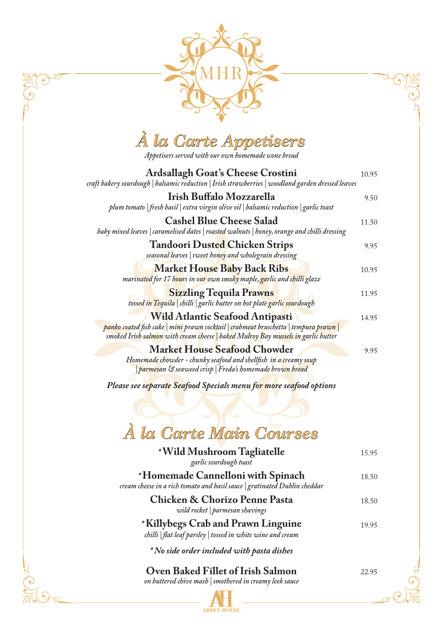

## *À la Carte Appetisers*

*Appetisers served with our own homemade scone bread*

| <b>Ardsallagh Goat's Cheese Crostini</b><br>craft bakery sourdough   balsamic reduction   Irish strawberries   woodland garden dressed leaves                                                                       | 10.95 |
|---------------------------------------------------------------------------------------------------------------------------------------------------------------------------------------------------------------------|-------|
| Irish Buffalo Mozzarella<br>plum tomato   fresh basil   extra virgin olive oil   balsamic reduction   garlic toast                                                                                                  | 9.50  |
| <b>Cashel Blue Cheese Salad</b><br>baby mixed leaves   caramelised dates   roasted walnuts   honey, orange and chilli dressing                                                                                      | 11.50 |
| <b>Tandoori Dusted Chicken Strips</b><br>seasonal leaves   sweet honey and wholegrain dressing                                                                                                                      | 9.95  |
| <b>Market House Baby Back Ribs</b><br>marinated for 17 hours in our own smoky maple, garlic and chilli glaze                                                                                                        | 10.95 |
| <b>Sizzling Tequila Prawns</b><br>tossed in Tequila   chilli   garlic butter on hot plate garlic sourdough                                                                                                          | 11.95 |
| <b>Wild Atlantic Seafood Antipasti</b><br>panko coated fish cake   mini prawn cocktail   crabmeat bruschetta   tempura prawn  <br>smoked Irish salmon with cream cheese   baked Mulroy Bay mussels in garlic butter | 14.95 |
| <b>Market House Seafood Chowder</b><br>Homemade chowder - chunky seafood and shellfish in a creamy soup<br>parmesan & seaweed crisp   Freda's homemade brown bread                                                  | 9.95  |

*Please see separate Seafood Specials menu for more seafood options*

## *À la Carte Main Courses*

**ABBEY HOTEL** 

| *Wild Mushroom Tagliatelle<br>garlic sourdough toast                                                           | 15.95 |
|----------------------------------------------------------------------------------------------------------------|-------|
| *Homemade Cannelloni with Spinach<br>cream cheese in a rich tomato and basil sauce   gratinated Dublin cheddar | 18.50 |
| <b>Chicken &amp; Chorizo Penne Pasta</b><br>wild rocket   parmesan shavings                                    | 18.50 |
| *Killybegs Crab and Prawn Linguine<br>chilli   flat leaf parsley   tossed in white wine and cream              | 19.95 |
| <i>No side order included with pasta dishes</i>                                                                |       |
| Oven Baked Fillet of Irish Salmon<br>on buttered chive mash   smothered in creamy leek sauce                   | 22.95 |